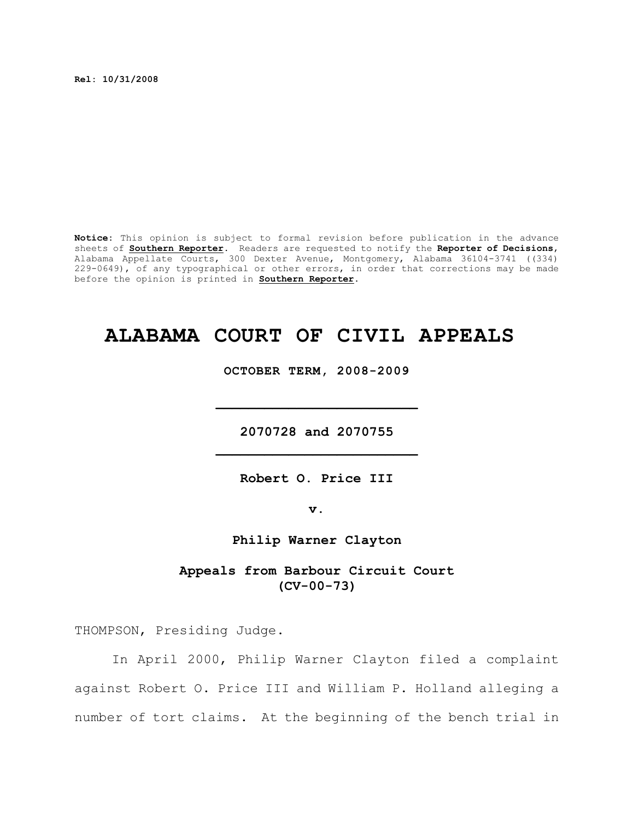**Rel: 10/31/2008**

**Notice:** This opinion is subject to formal revision before publication in the advance sheets of **Southern Reporter**. Readers are requested to notify the **Reporter of Decisions**, Alabama Appellate Courts, 300 Dexter Avenue, Montgomery, Alabama 36104-3741 ((334) 229-0649), of any typographical or other errors, in order that corrections may be made before the opinion is printed in **Southern Reporter**.

# **ALABAMA COURT OF CIVIL APPEALS**

**OCTOBER TERM, 2008-2009**

**2070728 and 2070755 \_\_\_\_\_\_\_\_\_\_\_\_\_\_\_\_\_\_\_\_\_\_\_\_\_**

**\_\_\_\_\_\_\_\_\_\_\_\_\_\_\_\_\_\_\_\_\_\_\_\_\_**

**Robert O. Price III**

**v.**

**Philip Warner Clayton**

**Appeals from Barbour Circuit Court (CV-00-73)**

THOMPSON, Presiding Judge.

In April 2000, Philip Warner Clayton filed a complaint against Robert O. Price III and William P. Holland alleging a number of tort claims. At the beginning of the bench trial in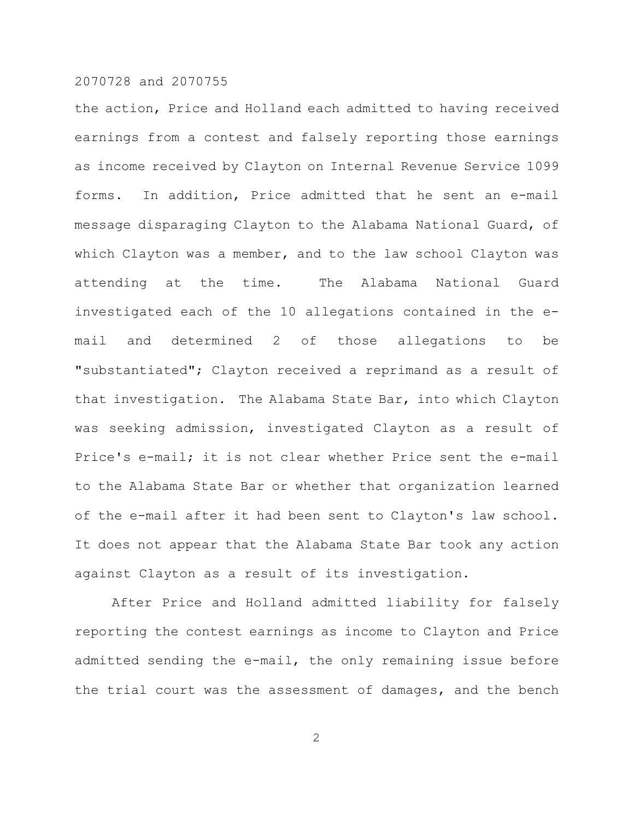the action, Price and Holland each admitted to having received earnings from a contest and falsely reporting those earnings as income received by Clayton on Internal Revenue Service 1099 forms. In addition, Price admitted that he sent an e-mail message disparaging Clayton to the Alabama National Guard, of which Clayton was a member, and to the law school Clayton was attending at the time. The Alabama National Guard investigated each of the 10 allegations contained in the email and determined 2 of those allegations to be "substantiated"; Clayton received a reprimand as a result of that investigation. The Alabama State Bar, into which Clayton was seeking admission, investigated Clayton as a result of Price's e-mail; it is not clear whether Price sent the e-mail to the Alabama State Bar or whether that organization learned of the e-mail after it had been sent to Clayton's law school. It does not appear that the Alabama State Bar took any action against Clayton as a result of its investigation.

After Price and Holland admitted liability for falsely reporting the contest earnings as income to Clayton and Price admitted sending the e-mail, the only remaining issue before the trial court was the assessment of damages, and the bench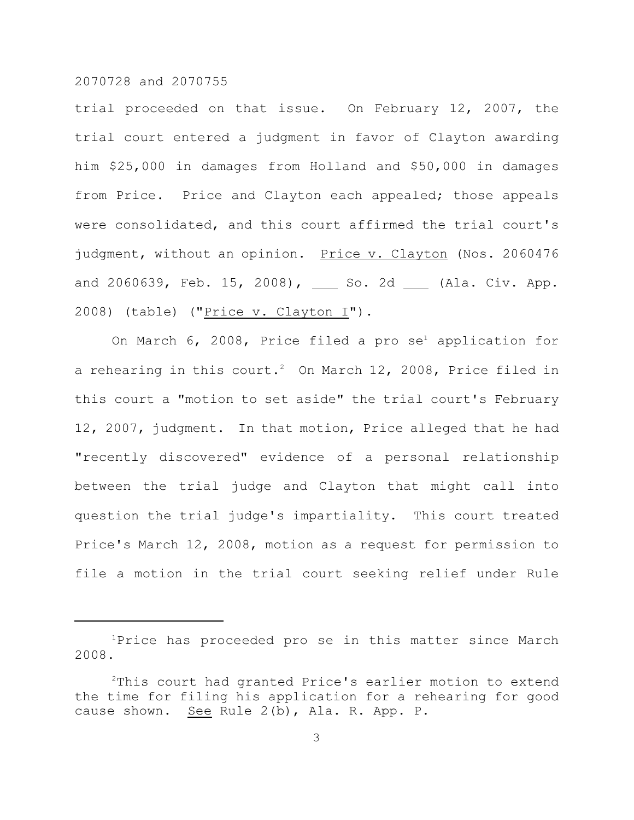trial proceeded on that issue. On February 12, 2007, the trial court entered a judgment in favor of Clayton awarding him \$25,000 in damages from Holland and \$50,000 in damages from Price. Price and Clayton each appealed; those appeals were consolidated, and this court affirmed the trial court's judgment, without an opinion. Price v. Clayton (Nos. 2060476 and 2060639, Feb. 15, 2008),  $\_\_\_\$  So. 2d  $\_\_\_\$  (Ala. Civ. App. 2008) (table) ("Price v. Clayton I").

On March  $6$ , 2008, Price filed a pro  $\mathrm{se}^\text{\tiny{1}}$  application for a rehearing in this court.<sup>2</sup> On March 12, 2008, Price filed in this court a "motion to set aside" the trial court's February 12, 2007, judgment. In that motion, Price alleged that he had "recently discovered" evidence of a personal relationship between the trial judge and Clayton that might call into question the trial judge's impartiality. This court treated Price's March 12, 2008, motion as a request for permission to file a motion in the trial court seeking relief under Rule

 $1$ Price has proceeded pro se in this matter since March 2008.

 $2$ This court had granted Price's earlier motion to extend the time for filing his application for a rehearing for good cause shown. See Rule 2(b), Ala. R. App. P.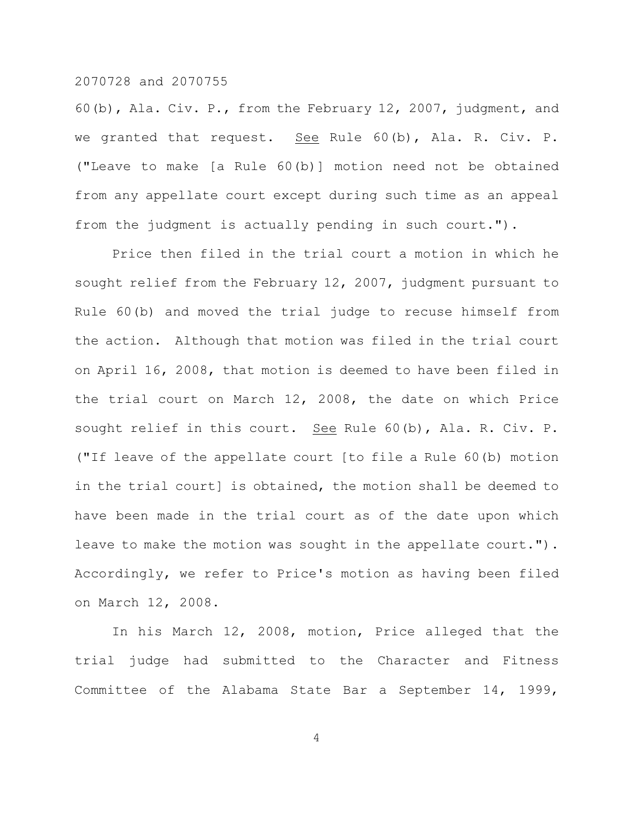60(b), Ala. Civ. P., from the February 12, 2007, judgment, and we granted that request. See Rule 60(b), Ala. R. Civ. P. ("Leave to make [a Rule 60(b)] motion need not be obtained from any appellate court except during such time as an appeal from the judgment is actually pending in such court.").

Price then filed in the trial court a motion in which he sought relief from the February 12, 2007, judgment pursuant to Rule 60(b) and moved the trial judge to recuse himself from the action. Although that motion was filed in the trial court on April 16, 2008, that motion is deemed to have been filed in the trial court on March 12, 2008, the date on which Price sought relief in this court. See Rule 60(b), Ala. R. Civ. P. ("If leave of the appellate court [to file a Rule 60(b) motion in the trial court] is obtained, the motion shall be deemed to have been made in the trial court as of the date upon which leave to make the motion was sought in the appellate court."). Accordingly, we refer to Price's motion as having been filed on March 12, 2008.

In his March 12, 2008, motion, Price alleged that the trial judge had submitted to the Character and Fitness Committee of the Alabama State Bar a September 14, 1999,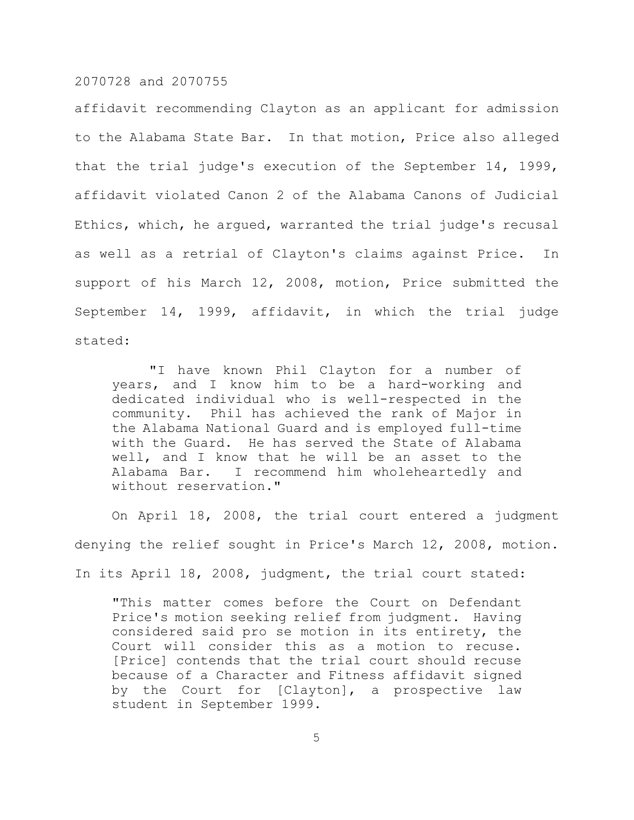affidavit recommending Clayton as an applicant for admission to the Alabama State Bar. In that motion, Price also alleged that the trial judge's execution of the September 14, 1999, affidavit violated Canon 2 of the Alabama Canons of Judicial Ethics, which, he argued, warranted the trial judge's recusal as well as a retrial of Clayton's claims against Price. In support of his March 12, 2008, motion, Price submitted the September 14, 1999, affidavit, in which the trial judge stated:

"I have known Phil Clayton for a number of years, and I know him to be a hard-working and dedicated individual who is well-respected in the community. Phil has achieved the rank of Major in the Alabama National Guard and is employed full-time with the Guard. He has served the State of Alabama well, and I know that he will be an asset to the Alabama Bar. I recommend him wholeheartedly and without reservation."

On April 18, 2008, the trial court entered a judgment denying the relief sought in Price's March 12, 2008, motion. In its April 18, 2008, judgment, the trial court stated:

"This matter comes before the Court on Defendant Price's motion seeking relief from judgment. Having considered said pro se motion in its entirety, the Court will consider this as a motion to recuse. [Price] contends that the trial court should recuse because of a Character and Fitness affidavit signed by the Court for [Clayton], a prospective law student in September 1999.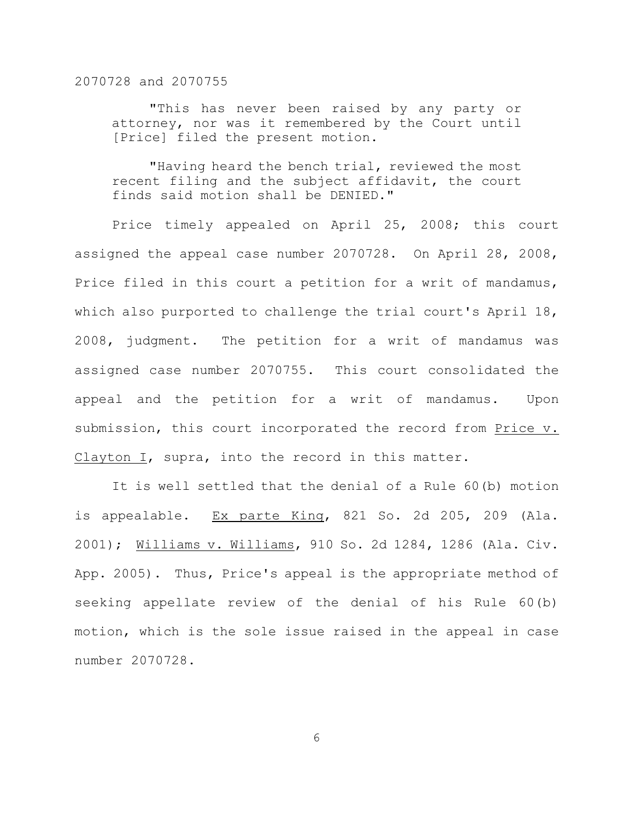"This has never been raised by any party or attorney, nor was it remembered by the Court until [Price] filed the present motion.

"Having heard the bench trial, reviewed the most recent filing and the subject affidavit, the court finds said motion shall be DENIED."

Price timely appealed on April 25, 2008; this court assigned the appeal case number 2070728. On April 28, 2008, Price filed in this court a petition for a writ of mandamus, which also purported to challenge the trial court's April 18, 2008, judgment. The petition for a writ of mandamus was assigned case number 2070755. This court consolidated the appeal and the petition for a writ of mandamus. Upon submission, this court incorporated the record from Price v. Clayton I, supra, into the record in this matter.

It is well settled that the denial of a Rule 60(b) motion is appealable. Ex parte King, 821 So. 2d 205, 209 (Ala. 2001); Williams v. Williams, 910 So. 2d 1284, 1286 (Ala. Civ. App. 2005). Thus, Price's appeal is the appropriate method of seeking appellate review of the denial of his Rule 60(b) motion, which is the sole issue raised in the appeal in case number 2070728.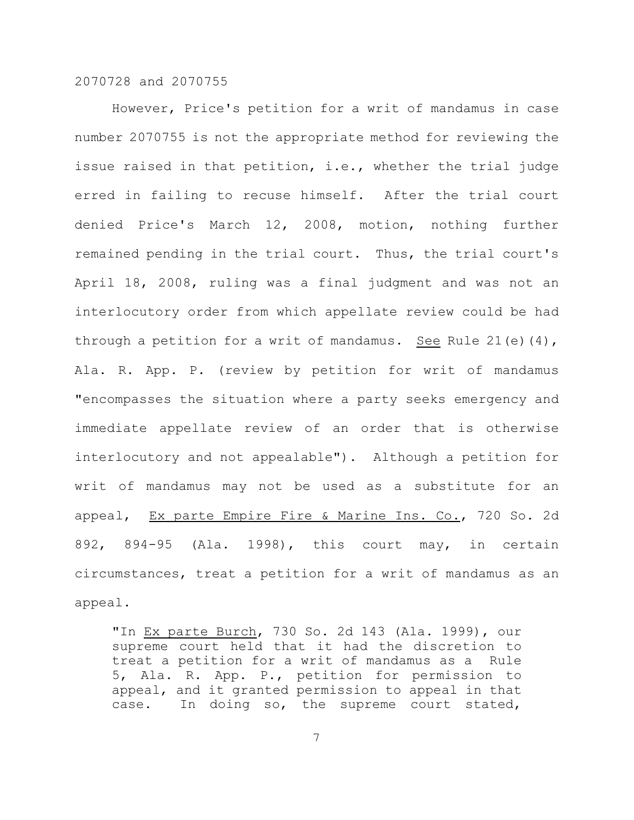However, Price's petition for a writ of mandamus in case number 2070755 is not the appropriate method for reviewing the issue raised in that petition, i.e., whether the trial judge erred in failing to recuse himself. After the trial court denied Price's March 12, 2008, motion, nothing further remained pending in the trial court. Thus, the trial court's April 18, 2008, ruling was a final judgment and was not an interlocutory order from which appellate review could be had through a petition for a writ of mandamus. See Rule 21(e)(4), Ala. R. App. P. (review by petition for writ of mandamus "encompasses the situation where a party seeks emergency and immediate appellate review of an order that is otherwise interlocutory and not appealable"). Although a petition for writ of mandamus may not be used as a substitute for an appeal, Ex parte Empire Fire & Marine Ins. Co., 720 So. 2d 892, 894-95 (Ala. 1998), this court may, in certain circumstances, treat a petition for a writ of mandamus as an appeal.

"In Ex parte Burch, 730 So. 2d 143 (Ala. 1999), our supreme court held that it had the discretion to treat a petition for a writ of mandamus as a Rule 5, Ala. R. App. P., petition for permission to appeal, and it granted permission to appeal in that case. In doing so, the supreme court stated,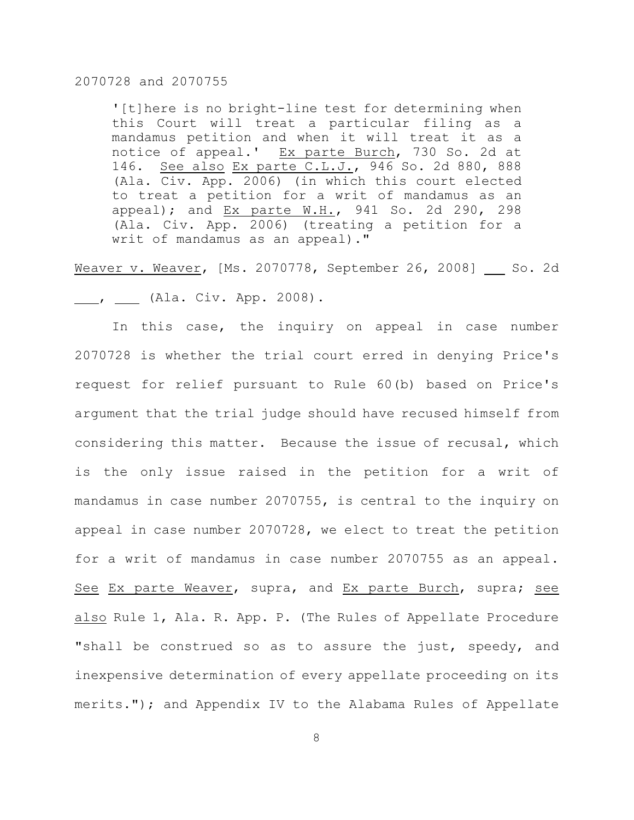'[t]here is no bright-line test for determining when this Court will treat a particular filing as a mandamus petition and when it will treat it as a notice of appeal.' Ex parte Burch, 730 So. 2d at 146. See also Ex parte C.L.J., 946 So. 2d 880, 888 (Ala. Civ. App. 2006) (in which this court elected to treat a petition for a writ of mandamus as an appeal); and Ex parte W.H., 941 So. 2d 290, 298 (Ala. Civ. App. 2006) (treating a petition for a writ of mandamus as an appeal)."

Weaver v. Weaver, [Ms. 2070778, September 26, 2008] So. 2d 1. The Civ. App. 2008).

In this case, the inquiry on appeal in case number 2070728 is whether the trial court erred in denying Price's request for relief pursuant to Rule 60(b) based on Price's argument that the trial judge should have recused himself from considering this matter. Because the issue of recusal, which is the only issue raised in the petition for a writ of mandamus in case number 2070755, is central to the inquiry on appeal in case number 2070728, we elect to treat the petition for a writ of mandamus in case number 2070755 as an appeal. See Ex parte Weaver, supra, and Ex parte Burch, supra; see also Rule 1, Ala. R. App. P. (The Rules of Appellate Procedure "shall be construed so as to assure the just, speedy, and inexpensive determination of every appellate proceeding on its merits."); and Appendix IV to the Alabama Rules of Appellate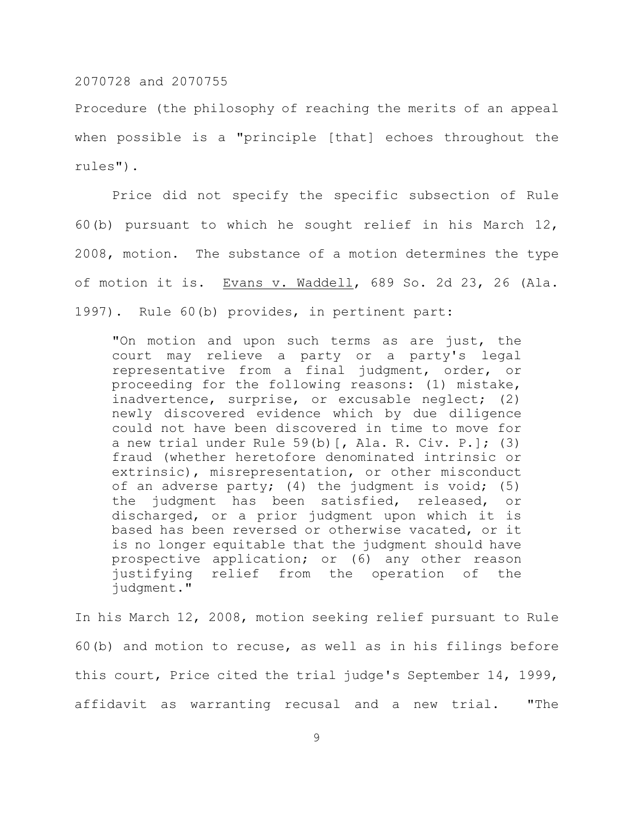Procedure (the philosophy of reaching the merits of an appeal when possible is a "principle [that] echoes throughout the rules").

Price did not specify the specific subsection of Rule 60(b) pursuant to which he sought relief in his March 12, 2008, motion. The substance of a motion determines the type of motion it is. Evans v. Waddell, 689 So. 2d 23, 26 (Ala. 1997). Rule 60(b) provides, in pertinent part:

"On motion and upon such terms as are just, the court may relieve a party or a party's legal representative from a final judgment, order, or proceeding for the following reasons: (1) mistake, inadvertence, surprise, or excusable neglect; (2) newly discovered evidence which by due diligence could not have been discovered in time to move for a new trial under Rule  $59(b)$  [, Ala. R. Civ. P.]; (3) fraud (whether heretofore denominated intrinsic or extrinsic), misrepresentation, or other misconduct of an adverse party; (4) the judgment is void; (5) the judgment has been satisfied, released, or discharged, or a prior judgment upon which it is based has been reversed or otherwise vacated, or it is no longer equitable that the judgment should have prospective application; or (6) any other reason justifying relief from the operation of the judgment."

In his March 12, 2008, motion seeking relief pursuant to Rule 60(b) and motion to recuse, as well as in his filings before this court, Price cited the trial judge's September 14, 1999, affidavit as warranting recusal and a new trial. "The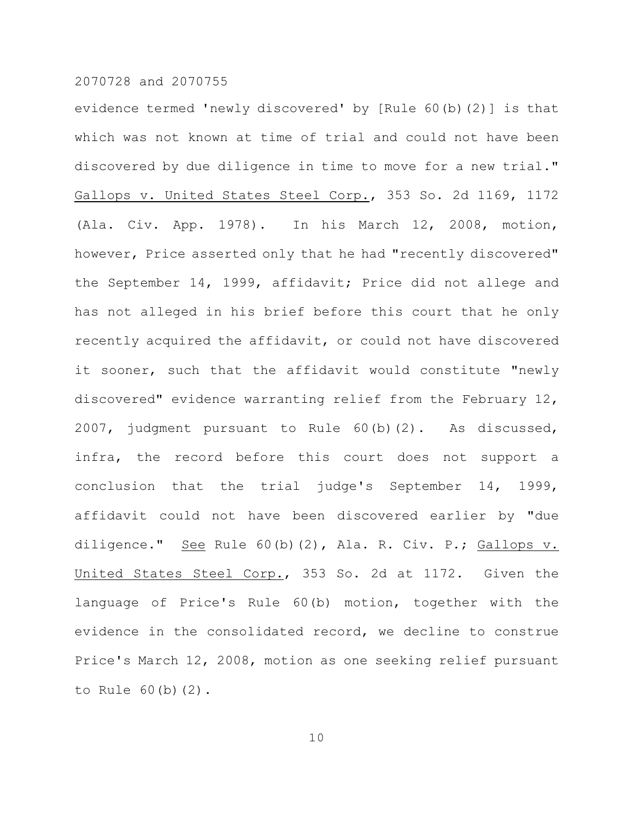evidence termed 'newly discovered' by [Rule 60(b)(2)] is that which was not known at time of trial and could not have been discovered by due diligence in time to move for a new trial." Gallops v. United States Steel Corp., 353 So. 2d 1169, 1172 (Ala. Civ. App. 1978). In his March 12, 2008, motion, however, Price asserted only that he had "recently discovered" the September 14, 1999, affidavit; Price did not allege and has not alleged in his brief before this court that he only recently acquired the affidavit, or could not have discovered it sooner, such that the affidavit would constitute "newly discovered" evidence warranting relief from the February 12, 2007, judgment pursuant to Rule 60(b)(2). As discussed, infra, the record before this court does not support a conclusion that the trial judge's September 14, 1999, affidavit could not have been discovered earlier by "due diligence." See Rule 60(b)(2), Ala. R. Civ. P.; Gallops v. United States Steel Corp., 353 So. 2d at 1172. Given the language of Price's Rule 60(b) motion, together with the evidence in the consolidated record, we decline to construe Price's March 12, 2008, motion as one seeking relief pursuant to Rule 60(b)(2).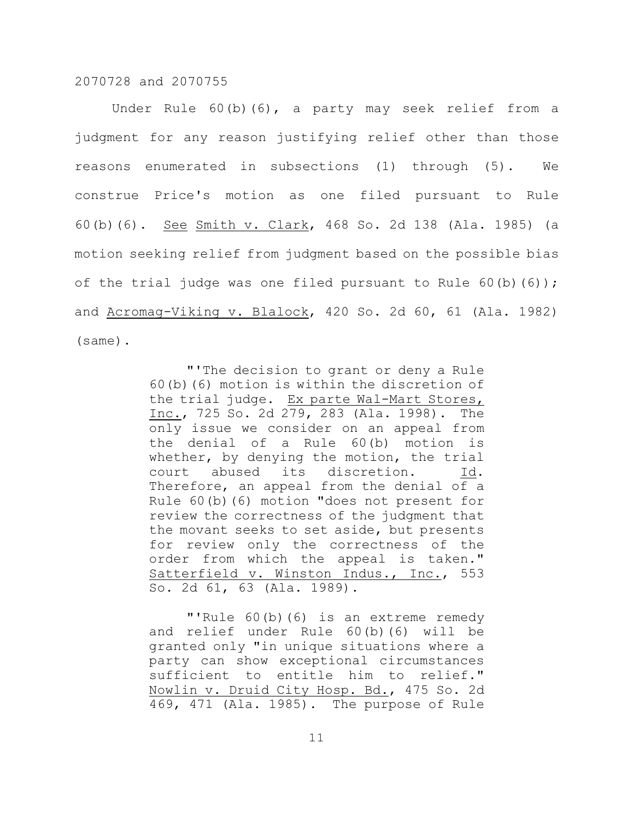Under Rule 60(b)(6), a party may seek relief from a judgment for any reason justifying relief other than those reasons enumerated in subsections (1) through (5). We construe Price's motion as one filed pursuant to Rule 60(b)(6). See Smith v. Clark, 468 So. 2d 138 (Ala. 1985) (a motion seeking relief from judgment based on the possible bias of the trial judge was one filed pursuant to Rule  $60(b)(6)$ ; and Acromag-Viking v. Blalock, 420 So. 2d 60, 61 (Ala. 1982) (same).

> "'The decision to grant or deny a Rule 60(b)(6) motion is within the discretion of the trial judge. Ex parte Wal-Mart Stores, Inc., 725 So. 2d 279, 283 (Ala. 1998). The only issue we consider on an appeal from the denial of a Rule 60(b) motion is whether, by denying the motion, the trial court abused its discretion. Therefore, an appeal from the denial of a Rule 60(b)(6) motion "does not present for review the correctness of the judgment that the movant seeks to set aside, but presents for review only the correctness of the order from which the appeal is taken." Satterfield v. Winston Indus., Inc., 553 So. 2d 61, 63 (Ala. 1989).

> "'Rule 60(b)(6) is an extreme remedy and relief under Rule 60(b)(6) will be granted only "in unique situations where a party can show exceptional circumstances sufficient to entitle him to relief." Nowlin v. Druid City Hosp. Bd., 475 So. 2d 469, 471 (Ala. 1985). The purpose of Rule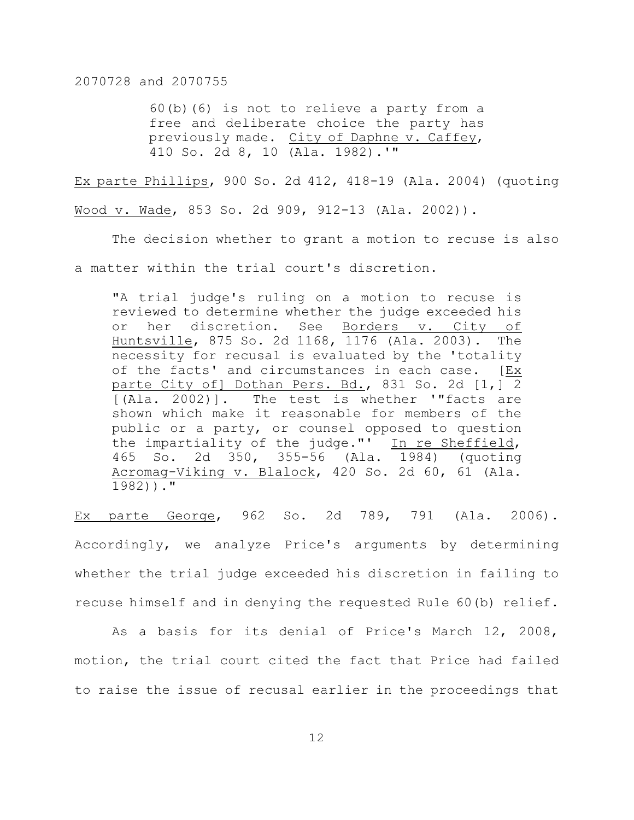60(b)(6) is not to relieve a party from a free and deliberate choice the party has previously made. City of Daphne v. Caffey, 410 So. 2d 8, 10 (Ala. 1982).'"

Ex parte Phillips, 900 So. 2d 412, 418-19 (Ala. 2004) (quoting Wood v. Wade, 853 So. 2d 909, 912-13 (Ala. 2002)).

The decision whether to grant a motion to recuse is also a matter within the trial court's discretion.

"A trial judge's ruling on a motion to recuse is reviewed to determine whether the judge exceeded his or her discretion. See Borders v. City of Huntsville, 875 So. 2d 1168, 1176 (Ala. 2003). The necessity for recusal is evaluated by the 'totality of the facts' and circumstances in each case. [Ex parte City of] Dothan Pers. Bd., 831 So. 2d [1,] 2 [(Ala. 2002)]. The test is whether '"facts are shown which make it reasonable for members of the public or a party, or counsel opposed to question the impartiality of the judge."' In re Sheffield, 465 So. 2d 350, 355-56 (Ala. 1984) (quoting Acromag-Viking v. Blalock, 420 So. 2d 60, 61 (Ala. 1982))."

Ex parte George, 962 So. 2d 789, 791 (Ala. 2006). Accordingly, we analyze Price's arguments by determining whether the trial judge exceeded his discretion in failing to recuse himself and in denying the requested Rule 60(b) relief.

As a basis for its denial of Price's March 12, 2008, motion, the trial court cited the fact that Price had failed to raise the issue of recusal earlier in the proceedings that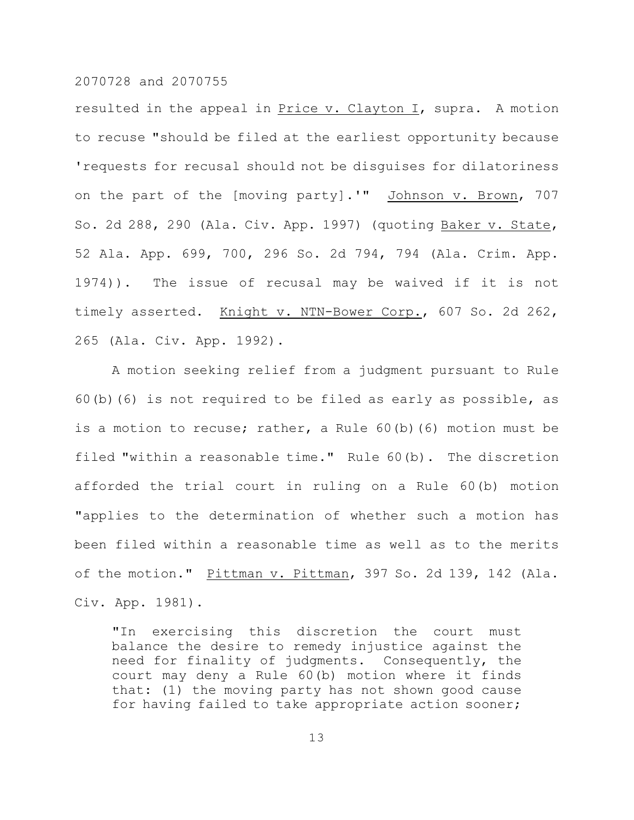resulted in the appeal in Price v. Clayton I, supra. A motion to recuse "should be filed at the earliest opportunity because 'requests for recusal should not be disguises for dilatoriness on the part of the [moving party].'" Johnson v. Brown, 707 So. 2d 288, 290 (Ala. Civ. App. 1997) (quoting Baker v. State, 52 Ala. App. 699, 700, 296 So. 2d 794, 794 (Ala. Crim. App. 1974)). The issue of recusal may be waived if it is not timely asserted. Knight v. NTN-Bower Corp., 607 So. 2d 262, 265 (Ala. Civ. App. 1992).

A motion seeking relief from a judgment pursuant to Rule 60(b)(6) is not required to be filed as early as possible, as is a motion to recuse; rather, a Rule 60(b)(6) motion must be filed "within a reasonable time." Rule 60(b). The discretion afforded the trial court in ruling on a Rule 60(b) motion "applies to the determination of whether such a motion has been filed within a reasonable time as well as to the merits of the motion." Pittman v. Pittman, 397 So. 2d 139, 142 (Ala. Civ. App. 1981).

"In exercising this discretion the court must balance the desire to remedy injustice against the need for finality of judgments. Consequently, the court may deny a Rule 60(b) motion where it finds that: (1) the moving party has not shown good cause for having failed to take appropriate action sooner;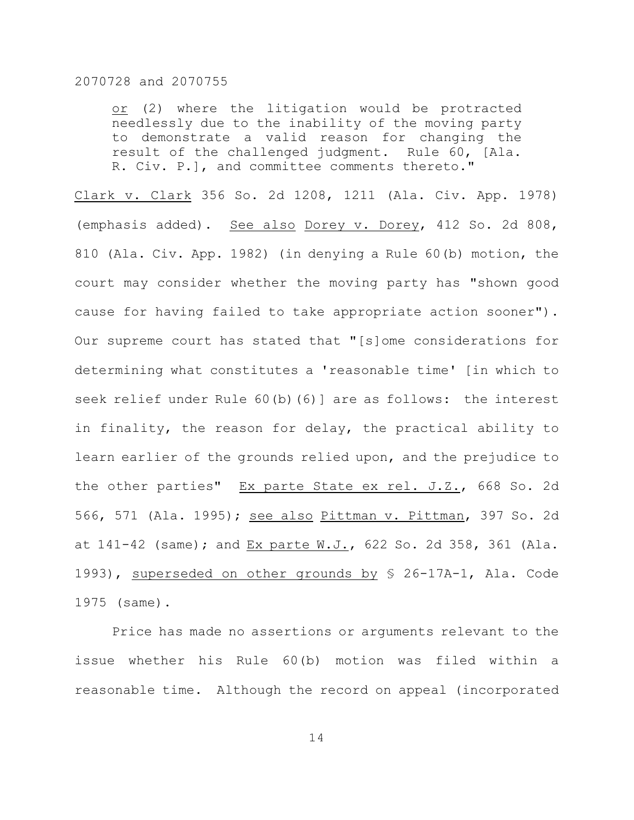or (2) where the litigation would be protracted needlessly due to the inability of the moving party to demonstrate a valid reason for changing the result of the challenged judgment. Rule 60, [Ala. R. Civ. P.], and committee comments thereto."

Clark v. Clark 356 So. 2d 1208, 1211 (Ala. Civ. App. 1978) (emphasis added). See also Dorey v. Dorey, 412 So. 2d 808, 810 (Ala. Civ. App. 1982) (in denying a Rule 60(b) motion, the court may consider whether the moving party has "shown good cause for having failed to take appropriate action sooner"). Our supreme court has stated that "[s]ome considerations for determining what constitutes a 'reasonable time' [in which to seek relief under Rule 60(b)(6)] are as follows: the interest in finality, the reason for delay, the practical ability to learn earlier of the grounds relied upon, and the prejudice to the other parties" Ex parte State ex rel. J.Z., 668 So. 2d 566, 571 (Ala. 1995); see also Pittman v. Pittman, 397 So. 2d at 141-42 (same); and Ex parte W.J., 622 So. 2d 358, 361 (Ala. 1993), superseded on other grounds by § 26-17A-1, Ala. Code 1975 (same).

Price has made no assertions or arguments relevant to the issue whether his Rule 60(b) motion was filed within a reasonable time. Although the record on appeal (incorporated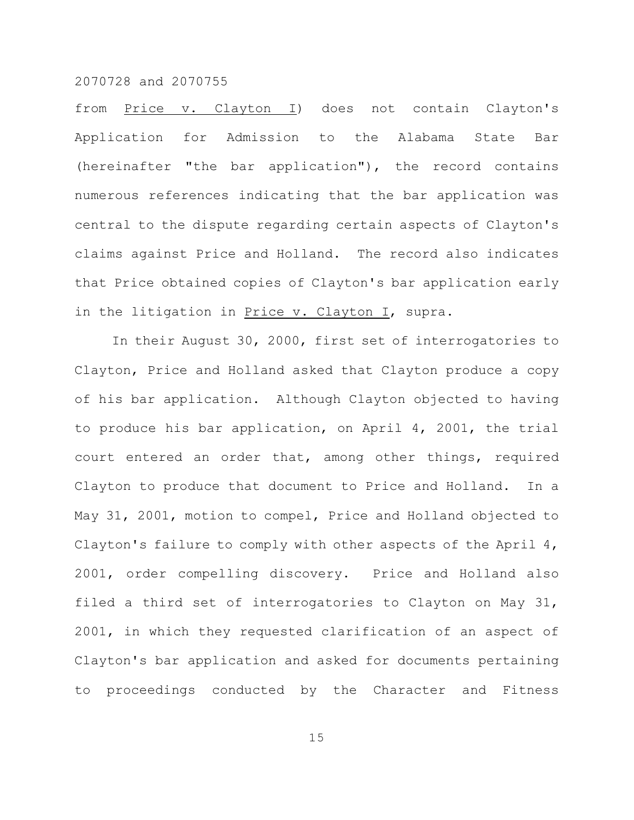from Price v. Clayton I) does not contain Clayton's Application for Admission to the Alabama State Bar (hereinafter "the bar application"), the record contains numerous references indicating that the bar application was central to the dispute regarding certain aspects of Clayton's claims against Price and Holland. The record also indicates that Price obtained copies of Clayton's bar application early in the litigation in Price v. Clayton I, supra.

In their August 30, 2000, first set of interrogatories to Clayton, Price and Holland asked that Clayton produce a copy of his bar application. Although Clayton objected to having to produce his bar application, on April 4, 2001, the trial court entered an order that, among other things, required Clayton to produce that document to Price and Holland. In a May 31, 2001, motion to compel, Price and Holland objected to Clayton's failure to comply with other aspects of the April 4, 2001, order compelling discovery. Price and Holland also filed a third set of interrogatories to Clayton on May 31, 2001, in which they requested clarification of an aspect of Clayton's bar application and asked for documents pertaining to proceedings conducted by the Character and Fitness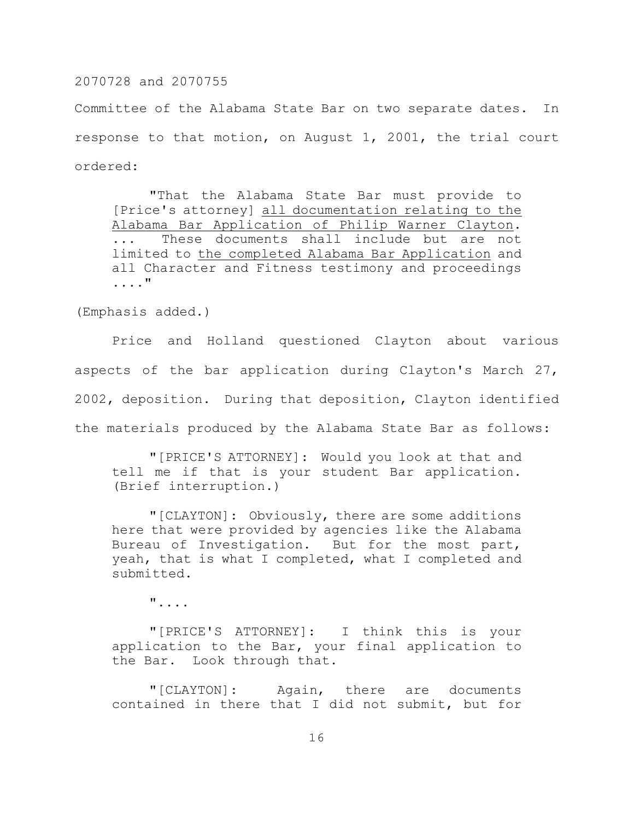Committee of the Alabama State Bar on two separate dates. In response to that motion, on August 1, 2001, the trial court ordered:

"That the Alabama State Bar must provide to [Price's attorney] all documentation relating to the Alabama Bar Application of Philip Warner Clayton. These documents shall include but are not limited to the completed Alabama Bar Application and all Character and Fitness testimony and proceedings ...."

(Emphasis added.)

Price and Holland questioned Clayton about various aspects of the bar application during Clayton's March 27, 2002, deposition. During that deposition, Clayton identified the materials produced by the Alabama State Bar as follows:

"[PRICE'S ATTORNEY]: Would you look at that and tell me if that is your student Bar application. (Brief interruption.)

"[CLAYTON]: Obviously, there are some additions here that were provided by agencies like the Alabama Bureau of Investigation. But for the most part, yeah, that is what I completed, what I completed and submitted.

"....

"[PRICE'S ATTORNEY]: I think this is your application to the Bar, your final application to the Bar. Look through that.

"[CLAYTON]: Again, there are documents contained in there that I did not submit, but for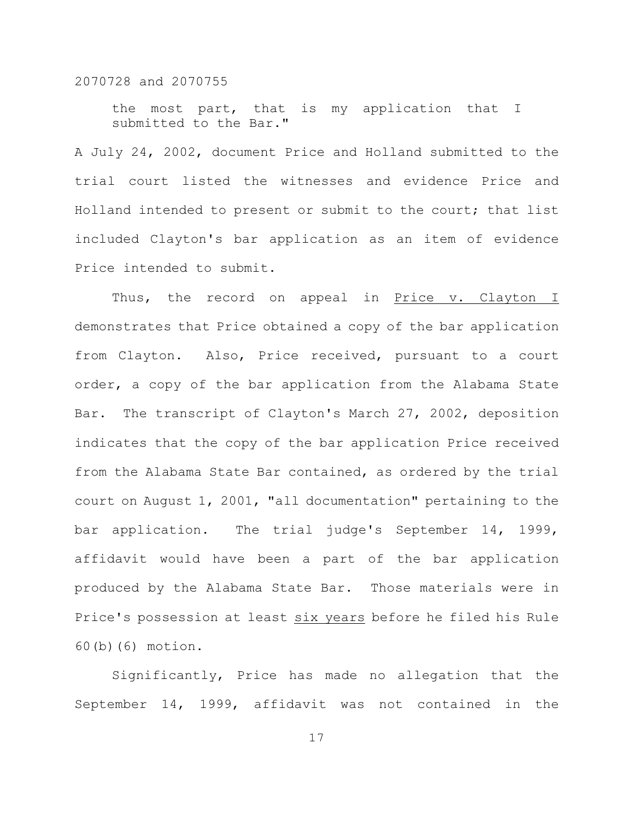the most part, that is my application that I submitted to the Bar."

A July 24, 2002, document Price and Holland submitted to the trial court listed the witnesses and evidence Price and Holland intended to present or submit to the court; that list included Clayton's bar application as an item of evidence Price intended to submit.

Thus, the record on appeal in Price v. Clayton I demonstrates that Price obtained a copy of the bar application from Clayton. Also, Price received, pursuant to a court order, a copy of the bar application from the Alabama State Bar. The transcript of Clayton's March 27, 2002, deposition indicates that the copy of the bar application Price received from the Alabama State Bar contained, as ordered by the trial court on August 1, 2001, "all documentation" pertaining to the bar application. The trial judge's September 14, 1999, affidavit would have been a part of the bar application produced by the Alabama State Bar. Those materials were in Price's possession at least six years before he filed his Rule 60(b)(6) motion.

Significantly, Price has made no allegation that the September 14, 1999, affidavit was not contained in the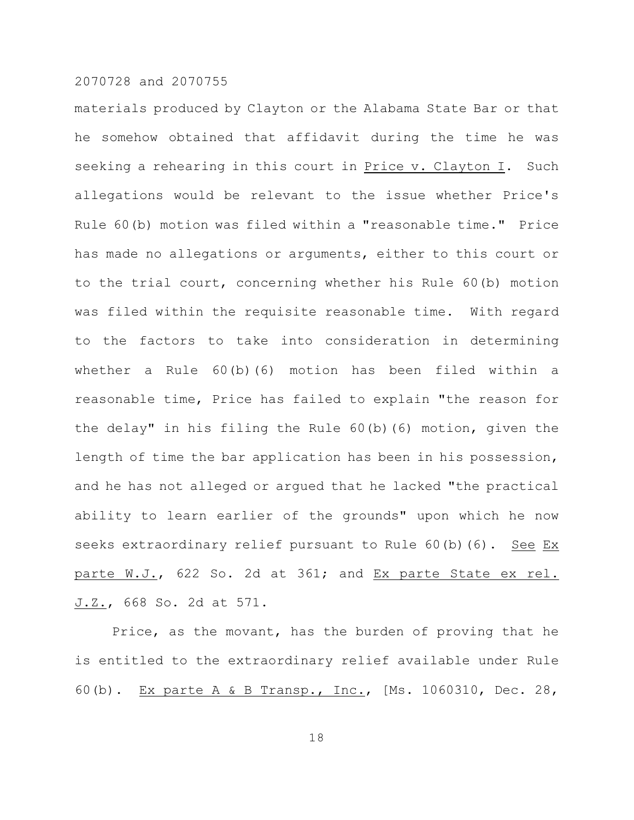materials produced by Clayton or the Alabama State Bar or that he somehow obtained that affidavit during the time he was seeking a rehearing in this court in Price v. Clayton I. Such allegations would be relevant to the issue whether Price's Rule 60(b) motion was filed within a "reasonable time." Price has made no allegations or arguments, either to this court or to the trial court, concerning whether his Rule 60(b) motion was filed within the requisite reasonable time. With regard to the factors to take into consideration in determining whether a Rule 60(b)(6) motion has been filed within a reasonable time, Price has failed to explain "the reason for the delay" in his filing the Rule 60(b)(6) motion, given the length of time the bar application has been in his possession, and he has not alleged or argued that he lacked "the practical ability to learn earlier of the grounds" upon which he now seeks extraordinary relief pursuant to Rule 60(b)(6). See Ex parte W.J., 622 So. 2d at 361; and Ex parte State ex rel. J.Z., 668 So. 2d at 571.

Price, as the movant, has the burden of proving that he is entitled to the extraordinary relief available under Rule 60(b). Ex parte A & B Transp., Inc., [Ms. 1060310, Dec. 28,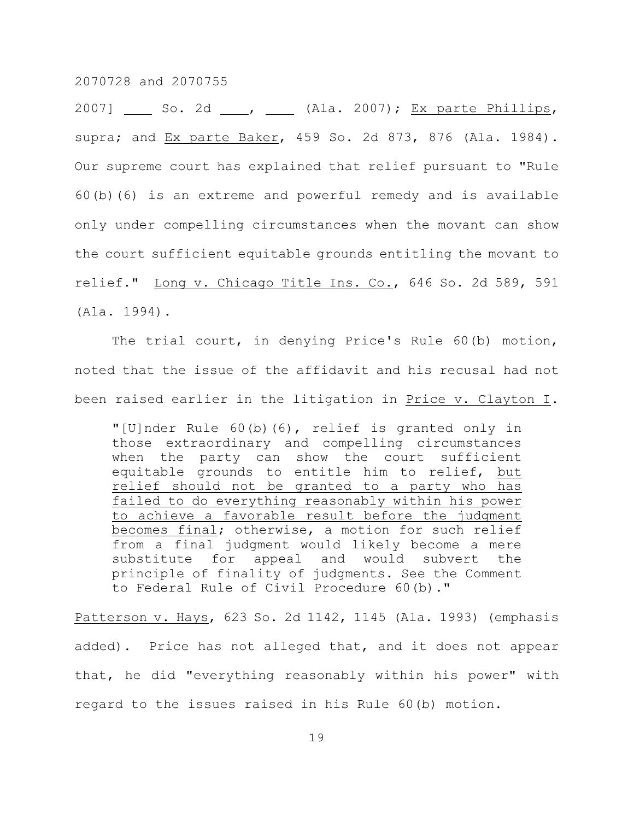2007] So. 2d \_\_, \_\_ (Ala. 2007); Ex parte Phillips, supra; and Ex parte Baker, 459 So. 2d 873, 876 (Ala. 1984). Our supreme court has explained that relief pursuant to "Rule 60(b)(6) is an extreme and powerful remedy and is available only under compelling circumstances when the movant can show the court sufficient equitable grounds entitling the movant to relief." Long v. Chicago Title Ins. Co., 646 So. 2d 589, 591 (Ala. 1994).

The trial court, in denying Price's Rule 60(b) motion, noted that the issue of the affidavit and his recusal had not been raised earlier in the litigation in Price v. Clayton I.

"[U]nder Rule 60(b)(6), relief is granted only in those extraordinary and compelling circumstances when the party can show the court sufficient equitable grounds to entitle him to relief, but relief should not be granted to a party who has failed to do everything reasonably within his power to achieve a favorable result before the judgment becomes final; otherwise, a motion for such relief from a final judgment would likely become a mere substitute for appeal and would subvert the principle of finality of judgments. See the Comment to Federal Rule of Civil Procedure 60(b)."

Patterson v. Hays, 623 So. 2d 1142, 1145 (Ala. 1993) (emphasis added). Price has not alleged that, and it does not appear that, he did "everything reasonably within his power" with regard to the issues raised in his Rule 60(b) motion.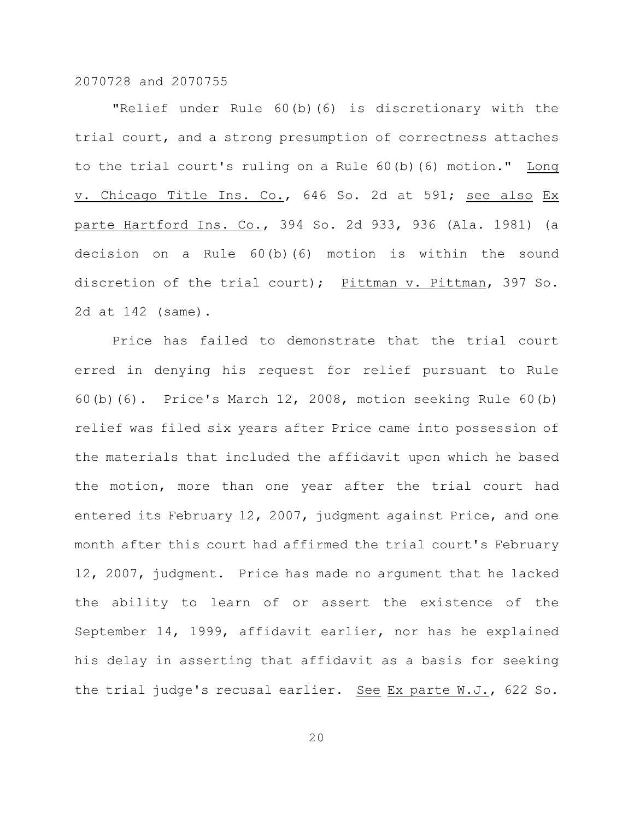"Relief under Rule 60(b)(6) is discretionary with the trial court, and a strong presumption of correctness attaches to the trial court's ruling on a Rule 60(b)(6) motion." Long v. Chicago Title Ins. Co., 646 So. 2d at 591; see also Ex parte Hartford Ins. Co., 394 So. 2d 933, 936 (Ala. 1981) (a decision on a Rule 60(b)(6) motion is within the sound discretion of the trial court); Pittman v. Pittman, 397 So. 2d at 142 (same).

Price has failed to demonstrate that the trial court erred in denying his request for relief pursuant to Rule 60(b)(6). Price's March 12, 2008, motion seeking Rule 60(b) relief was filed six years after Price came into possession of the materials that included the affidavit upon which he based the motion, more than one year after the trial court had entered its February 12, 2007, judgment against Price, and one month after this court had affirmed the trial court's February 12, 2007, judgment. Price has made no argument that he lacked the ability to learn of or assert the existence of the September 14, 1999, affidavit earlier, nor has he explained his delay in asserting that affidavit as a basis for seeking the trial judge's recusal earlier. See Ex parte W.J., 622 So.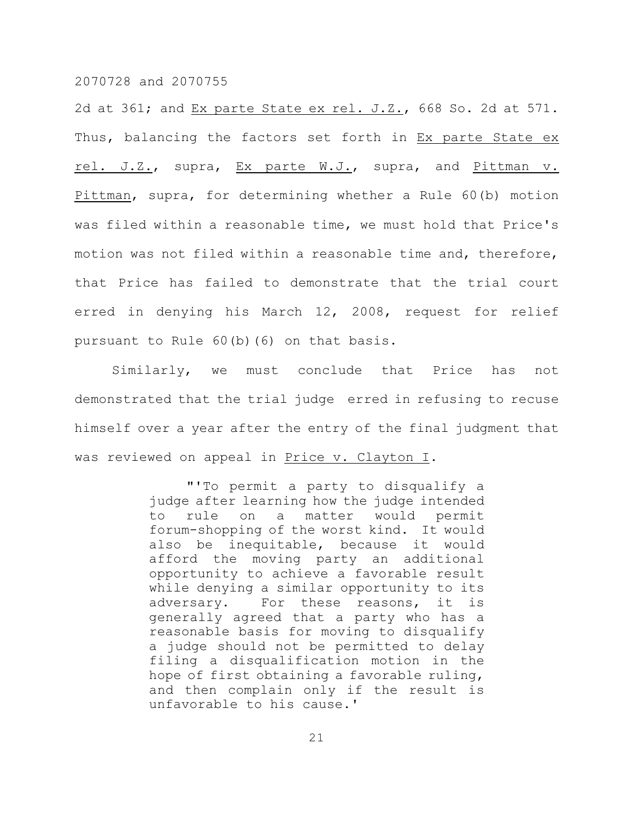2d at 361; and Ex parte State ex rel. J.Z., 668 So. 2d at 571. Thus, balancing the factors set forth in Ex parte State ex rel. J.Z., supra, Ex parte W.J., supra, and Pittman v. Pittman, supra, for determining whether a Rule 60(b) motion was filed within a reasonable time, we must hold that Price's motion was not filed within a reasonable time and, therefore, that Price has failed to demonstrate that the trial court erred in denying his March 12, 2008, request for relief pursuant to Rule 60(b)(6) on that basis.

Similarly, we must conclude that Price has not demonstrated that the trial judge erred in refusing to recuse himself over a year after the entry of the final judgment that was reviewed on appeal in Price v. Clayton I.

> "'To permit a party to disqualify a judge after learning how the judge intended to rule on a matter would permit forum-shopping of the worst kind. It would also be inequitable, because it would afford the moving party an additional opportunity to achieve a favorable result while denying a similar opportunity to its adversary. For these reasons, it is generally agreed that a party who has a reasonable basis for moving to disqualify a judge should not be permitted to delay filing a disqualification motion in the hope of first obtaining a favorable ruling, and then complain only if the result is unfavorable to his cause.'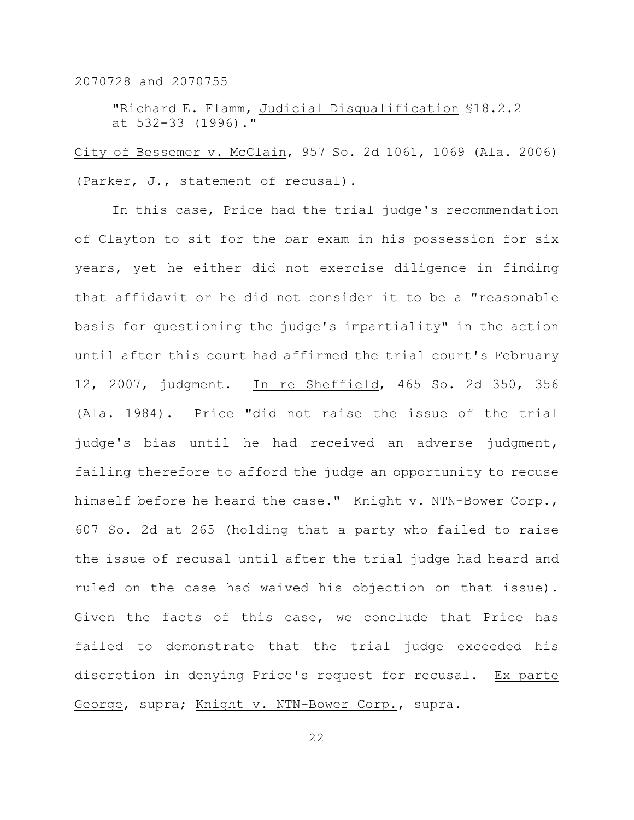"Richard E. Flamm, Judicial Disqualification §18.2.2 at 532-33 (1996)."

City of Bessemer v. McClain, 957 So. 2d 1061, 1069 (Ala. 2006) (Parker, J., statement of recusal).

In this case, Price had the trial judge's recommendation of Clayton to sit for the bar exam in his possession for six years, yet he either did not exercise diligence in finding that affidavit or he did not consider it to be a "reasonable basis for questioning the judge's impartiality" in the action until after this court had affirmed the trial court's February 12, 2007, judgment. In re Sheffield, 465 So. 2d 350, 356 (Ala. 1984). Price "did not raise the issue of the trial judge's bias until he had received an adverse judgment, failing therefore to afford the judge an opportunity to recuse himself before he heard the case." Knight v. NTN-Bower Corp., 607 So. 2d at 265 (holding that a party who failed to raise the issue of recusal until after the trial judge had heard and ruled on the case had waived his objection on that issue). Given the facts of this case, we conclude that Price has failed to demonstrate that the trial judge exceeded his discretion in denying Price's request for recusal. Ex parte George, supra; Knight v. NTN-Bower Corp., supra.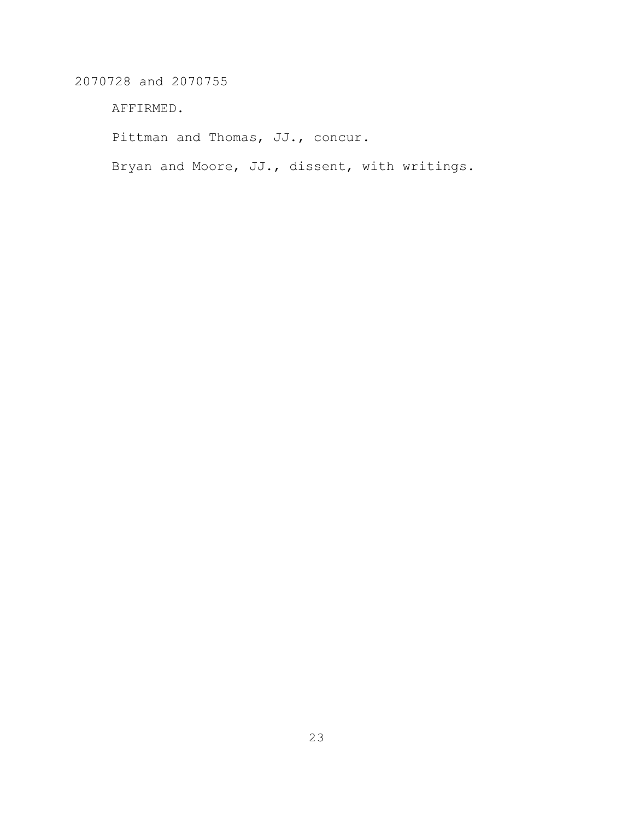AFFIRMED.

Pittman and Thomas, JJ., concur.

Bryan and Moore, JJ., dissent, with writings.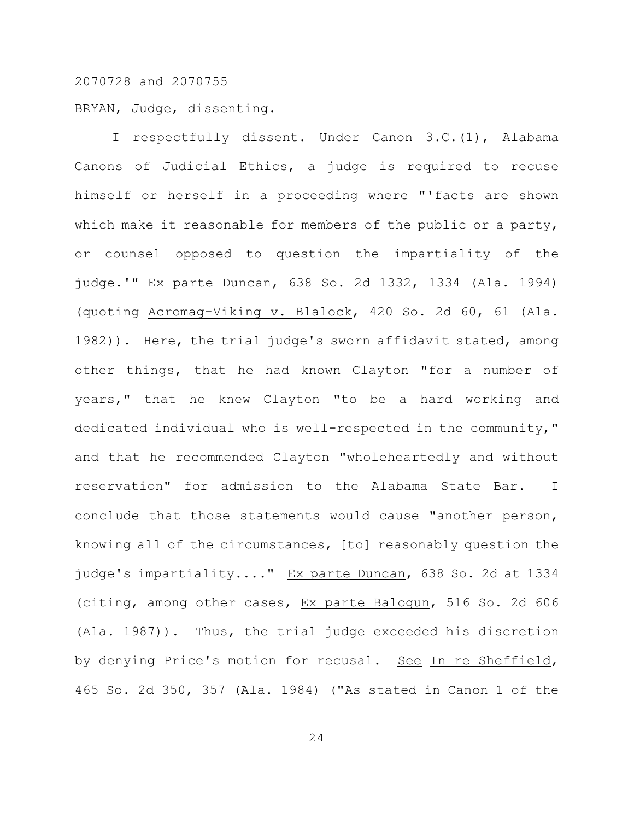BRYAN, Judge, dissenting.

I respectfully dissent. Under Canon 3.C.(1), Alabama Canons of Judicial Ethics, a judge is required to recuse himself or herself in a proceeding where "'facts are shown which make it reasonable for members of the public or a party, or counsel opposed to question the impartiality of the judge.'" Ex parte Duncan, 638 So. 2d 1332, 1334 (Ala. 1994) (quoting Acromag-Viking v. Blalock, 420 So. 2d 60, 61 (Ala. 1982)). Here, the trial judge's sworn affidavit stated, among other things, that he had known Clayton "for a number of years," that he knew Clayton "to be a hard working and dedicated individual who is well-respected in the community," and that he recommended Clayton "wholeheartedly and without reservation" for admission to the Alabama State Bar. I conclude that those statements would cause "another person, knowing all of the circumstances, [to] reasonably question the judge's impartiality...." Ex parte Duncan, 638 So. 2d at 1334 (citing, among other cases, Ex parte Balogun, 516 So. 2d 606 (Ala. 1987)). Thus, the trial judge exceeded his discretion by denying Price's motion for recusal. See In re Sheffield, 465 So. 2d 350, 357 (Ala. 1984) ("As stated in Canon 1 of the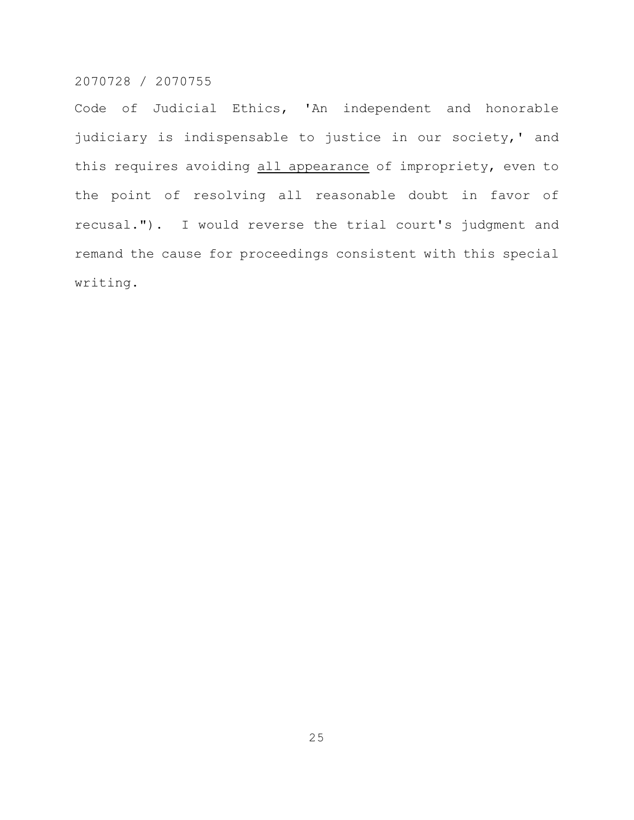Code of Judicial Ethics, 'An independent and honorable judiciary is indispensable to justice in our society,' and this requires avoiding all appearance of impropriety, even to the point of resolving all reasonable doubt in favor of recusal."). I would reverse the trial court's judgment and remand the cause for proceedings consistent with this special writing.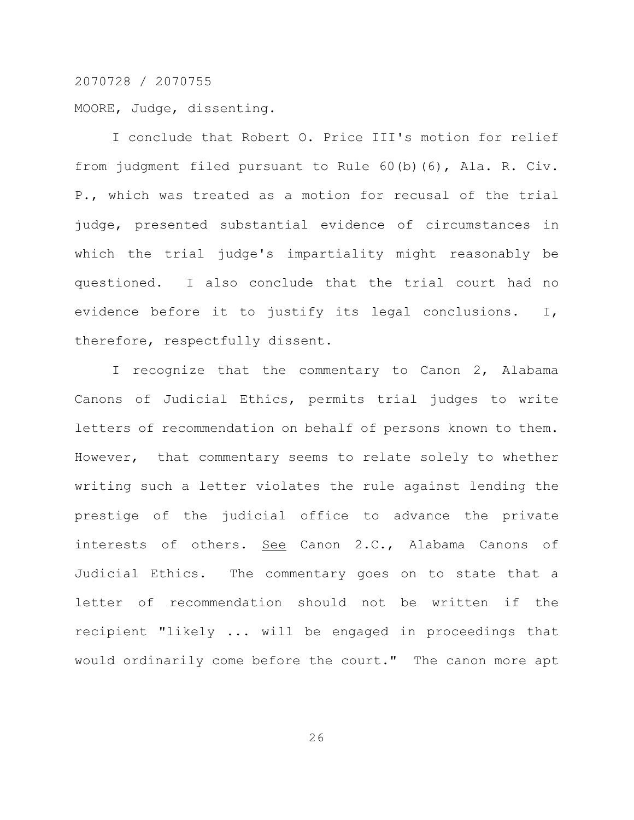MOORE, Judge, dissenting.

I conclude that Robert O. Price III's motion for relief from judgment filed pursuant to Rule 60(b)(6), Ala. R. Civ. P., which was treated as a motion for recusal of the trial judge, presented substantial evidence of circumstances in which the trial judge's impartiality might reasonably be questioned. I also conclude that the trial court had no evidence before it to justify its legal conclusions. I, therefore, respectfully dissent.

I recognize that the commentary to Canon 2, Alabama Canons of Judicial Ethics, permits trial judges to write letters of recommendation on behalf of persons known to them. However, that commentary seems to relate solely to whether writing such a letter violates the rule against lending the prestige of the judicial office to advance the private interests of others. See Canon 2.C., Alabama Canons of Judicial Ethics. The commentary goes on to state that a letter of recommendation should not be written if the recipient "likely ... will be engaged in proceedings that would ordinarily come before the court." The canon more apt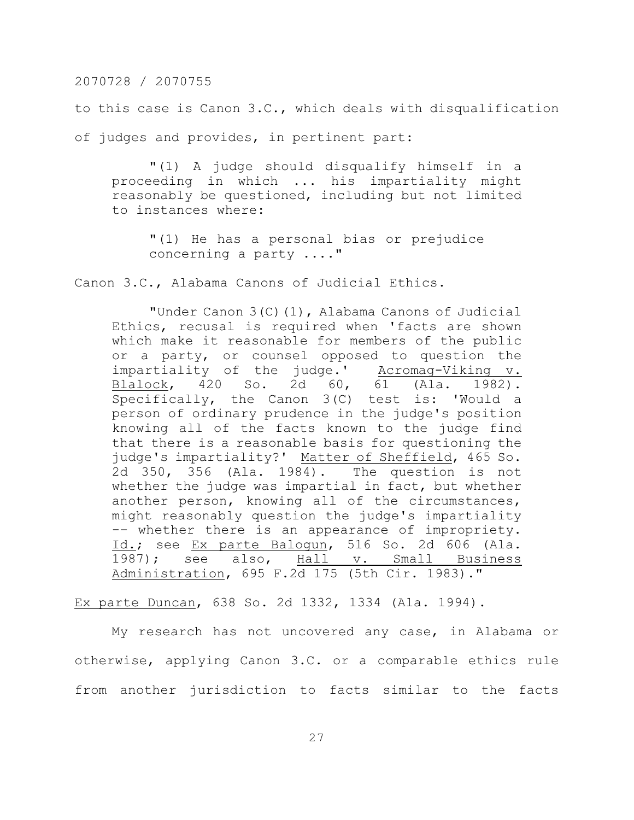to this case is Canon 3.C., which deals with disqualification of judges and provides, in pertinent part:

"(1) A judge should disqualify himself in a proceeding in which ... his impartiality might reasonably be questioned, including but not limited to instances where:

"(1) He has a personal bias or prejudice concerning a party ...."

Canon 3.C., Alabama Canons of Judicial Ethics.

"Under Canon 3(C)(1), Alabama Canons of Judicial Ethics, recusal is required when 'facts are shown which make it reasonable for members of the public or a party, or counsel opposed to question the impartiality of the judge.' Acromag-Viking v.<br>Blalock, 420 So. 2d 60, 61 (Ala. 1982). Blalock, 420 So. 2d 60, 61 (Ala. 1982). Specifically, the Canon 3(C) test is: 'Would a person of ordinary prudence in the judge's position knowing all of the facts known to the judge find that there is a reasonable basis for questioning the judge's impartiality?' Matter of Sheffield, 465 So. 2d 350, 356 (Ala. 1984). The question is not whether the judge was impartial in fact, but whether another person, knowing all of the circumstances, might reasonably question the judge's impartiality -– whether there is an appearance of impropriety. Id.; see Ex parte Balogun, 516 So. 2d 606 (Ala. 1987); see also, Hall v. Small Business Administration, 695 F.2d 175 (5th Cir. 1983)."

Ex parte Duncan, 638 So. 2d 1332, 1334 (Ala. 1994).

My research has not uncovered any case, in Alabama or otherwise, applying Canon 3.C. or a comparable ethics rule from another jurisdiction to facts similar to the facts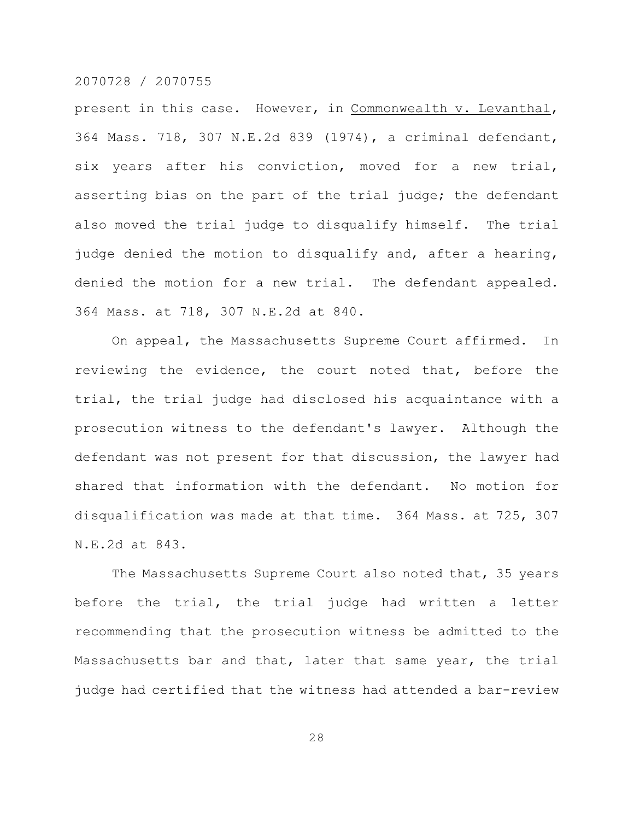present in this case. However, in Commonwealth v. Levanthal, 364 Mass. 718, 307 N.E.2d 839 (1974), a criminal defendant, six years after his conviction, moved for a new trial, asserting bias on the part of the trial judge; the defendant also moved the trial judge to disqualify himself. The trial judge denied the motion to disqualify and, after a hearing, denied the motion for a new trial. The defendant appealed. 364 Mass. at 718, 307 N.E.2d at 840.

On appeal, the Massachusetts Supreme Court affirmed. In reviewing the evidence, the court noted that, before the trial, the trial judge had disclosed his acquaintance with a prosecution witness to the defendant's lawyer. Although the defendant was not present for that discussion, the lawyer had shared that information with the defendant. No motion for disqualification was made at that time. 364 Mass. at 725, 307 N.E.2d at 843.

The Massachusetts Supreme Court also noted that, 35 years before the trial, the trial judge had written a letter recommending that the prosecution witness be admitted to the Massachusetts bar and that, later that same year, the trial judge had certified that the witness had attended a bar-review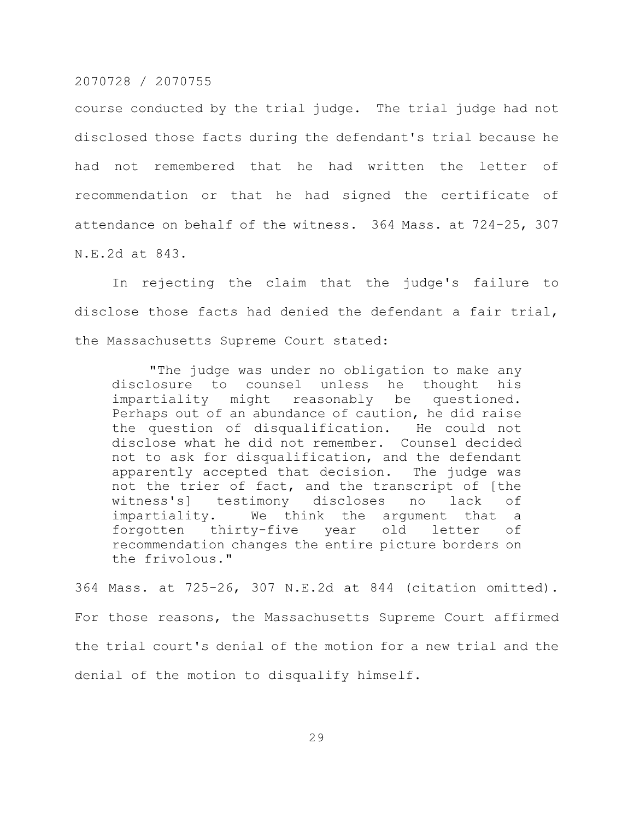course conducted by the trial judge. The trial judge had not disclosed those facts during the defendant's trial because he had not remembered that he had written the letter of recommendation or that he had signed the certificate of attendance on behalf of the witness. 364 Mass. at 724-25, 307 N.E.2d at 843.

In rejecting the claim that the judge's failure to disclose those facts had denied the defendant a fair trial, the Massachusetts Supreme Court stated:

"The judge was under no obligation to make any disclosure to counsel unless he thought his impartiality might reasonably be questioned. Perhaps out of an abundance of caution, he did raise the question of disqualification. He could not disclose what he did not remember. Counsel decided not to ask for disqualification, and the defendant apparently accepted that decision. The judge was not the trier of fact, and the transcript of [the witness's] testimony discloses no lack of impartiality. We think the argument that a forgotten thirty-five year old letter of recommendation changes the entire picture borders on the frivolous."

364 Mass. at 725-26, 307 N.E.2d at 844 (citation omitted). For those reasons, the Massachusetts Supreme Court affirmed the trial court's denial of the motion for a new trial and the denial of the motion to disqualify himself.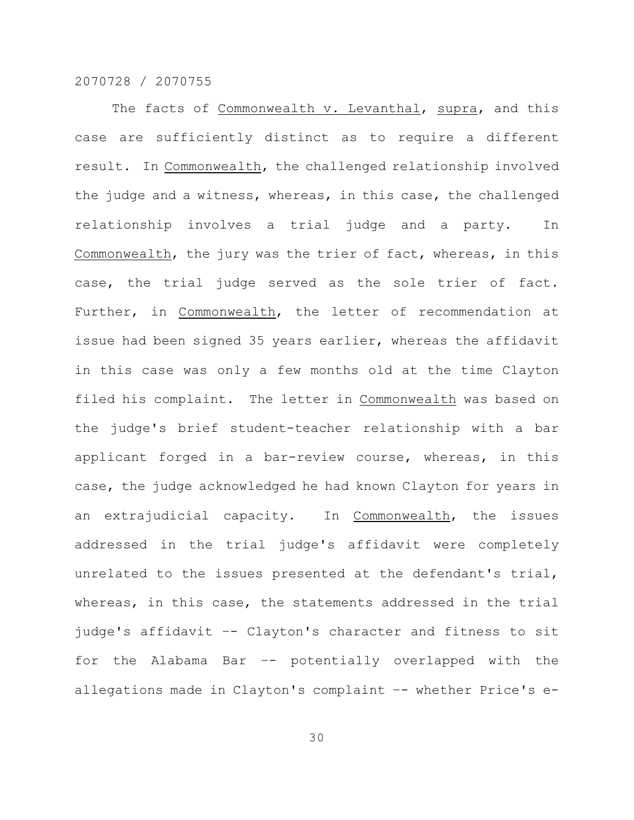The facts of Commonwealth v. Levanthal, supra, and this case are sufficiently distinct as to require a different result. In Commonwealth, the challenged relationship involved the judge and a witness, whereas, in this case, the challenged relationship involves a trial judge and a party. In Commonwealth, the jury was the trier of fact, whereas, in this case, the trial judge served as the sole trier of fact. Further, in Commonwealth, the letter of recommendation at issue had been signed 35 years earlier, whereas the affidavit in this case was only a few months old at the time Clayton filed his complaint. The letter in Commonwealth was based on the judge's brief student-teacher relationship with a bar applicant forged in a bar-review course, whereas, in this case, the judge acknowledged he had known Clayton for years in an extrajudicial capacity. In Commonwealth, the issues addressed in the trial judge's affidavit were completely unrelated to the issues presented at the defendant's trial, whereas, in this case, the statements addressed in the trial judge's affidavit –- Clayton's character and fitness to sit for the Alabama Bar –- potentially overlapped with the allegations made in Clayton's complaint -- whether Price's e-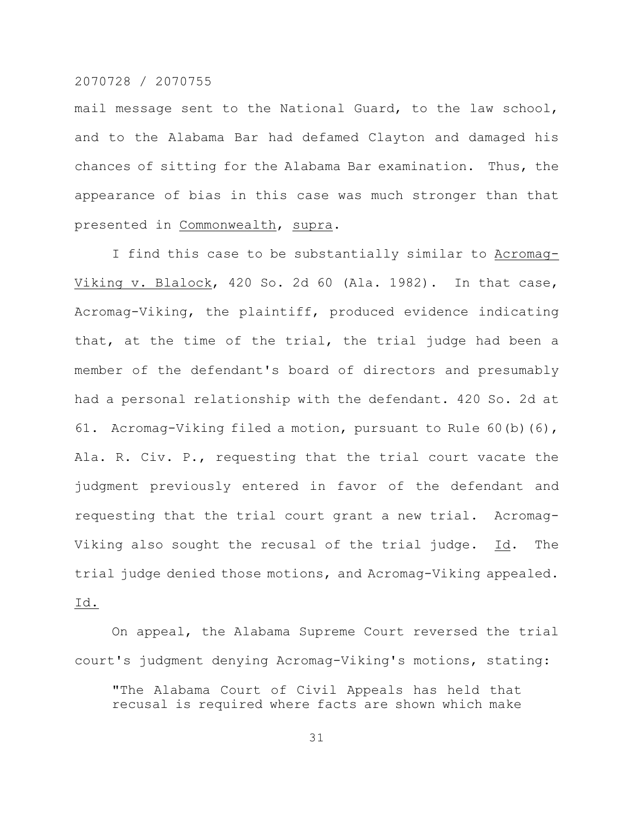mail message sent to the National Guard, to the law school, and to the Alabama Bar had defamed Clayton and damaged his chances of sitting for the Alabama Bar examination. Thus, the appearance of bias in this case was much stronger than that presented in Commonwealth, supra.

I find this case to be substantially similar to Acromag-Viking v. Blalock, 420 So. 2d 60 (Ala. 1982). In that case, Acromag-Viking, the plaintiff, produced evidence indicating that, at the time of the trial, the trial judge had been a member of the defendant's board of directors and presumably had a personal relationship with the defendant. 420 So. 2d at 61. Acromag-Viking filed a motion, pursuant to Rule 60(b)(6), Ala. R. Civ. P., requesting that the trial court vacate the judgment previously entered in favor of the defendant and requesting that the trial court grant a new trial. Acromag-Viking also sought the recusal of the trial judge. Id. The trial judge denied those motions, and Acromag-Viking appealed. Id.

On appeal, the Alabama Supreme Court reversed the trial court's judgment denying Acromag-Viking's motions, stating:

"The Alabama Court of Civil Appeals has held that recusal is required where facts are shown which make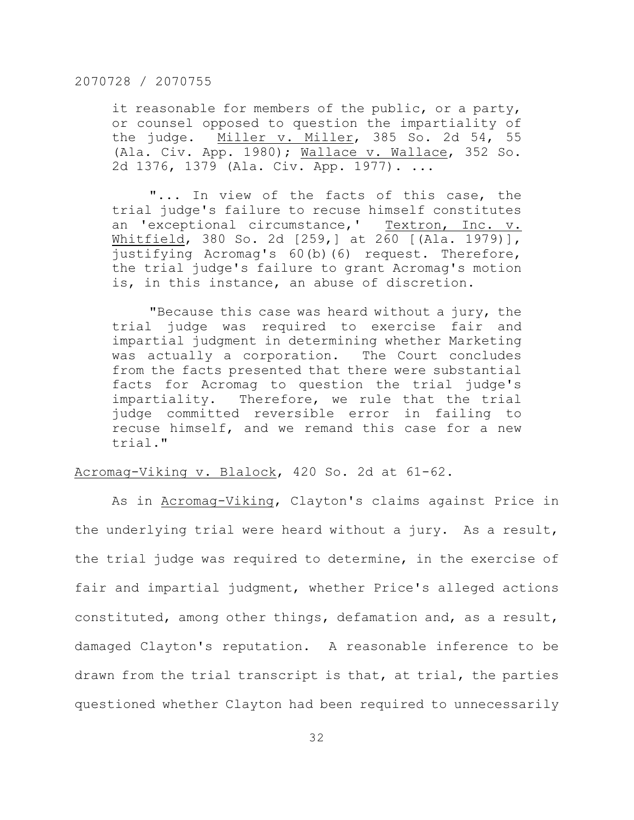it reasonable for members of the public, or a party, or counsel opposed to question the impartiality of the judge. Miller v. Miller, 385 So. 2d 54, 55 (Ala. Civ. App. 1980); Wallace v. Wallace, 352 So. 2d 1376, 1379 (Ala. Civ. App. 1977). ...

"... In view of the facts of this case, the trial judge's failure to recuse himself constitutes an 'exceptional circumstance,' Textron, Inc. v. Whitfield, 380 So. 2d [259,] at 260 [(Ala. 1979)], justifying Acromag's 60(b)(6) request. Therefore, the trial judge's failure to grant Acromag's motion is, in this instance, an abuse of discretion.

"Because this case was heard without a jury, the trial judge was required to exercise fair and impartial judgment in determining whether Marketing was actually a corporation. The Court concludes from the facts presented that there were substantial facts for Acromag to question the trial judge's impartiality. Therefore, we rule that the trial judge committed reversible error in failing to recuse himself, and we remand this case for a new trial."

# Acromag-Viking v. Blalock, 420 So. 2d at 61-62.

As in Acromag-Viking, Clayton's claims against Price in the underlying trial were heard without a jury. As a result, the trial judge was required to determine, in the exercise of fair and impartial judgment, whether Price's alleged actions constituted, among other things, defamation and, as a result, damaged Clayton's reputation. A reasonable inference to be drawn from the trial transcript is that, at trial, the parties questioned whether Clayton had been required to unnecessarily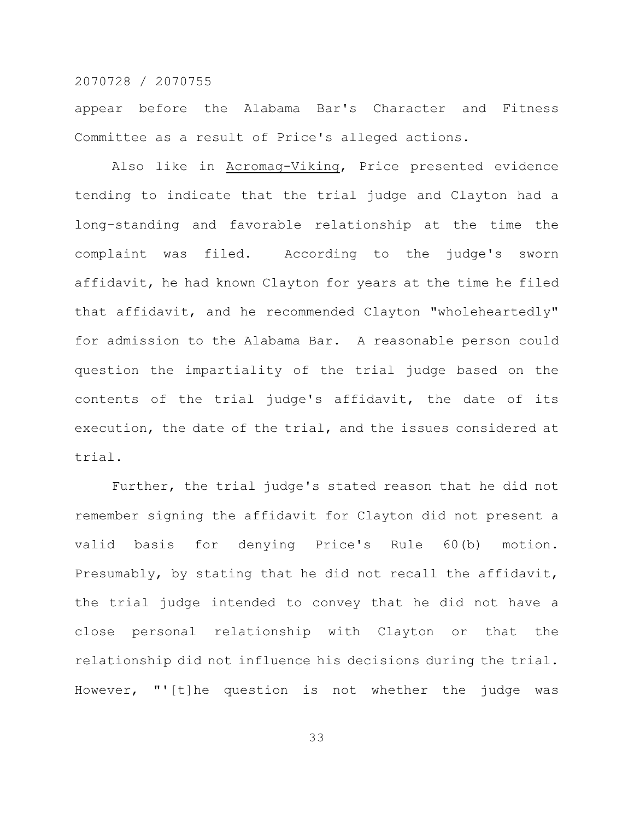appear before the Alabama Bar's Character and Fitness Committee as a result of Price's alleged actions.

Also like in Acromag-Viking, Price presented evidence tending to indicate that the trial judge and Clayton had a long-standing and favorable relationship at the time the complaint was filed. According to the judge's sworn affidavit, he had known Clayton for years at the time he filed that affidavit, and he recommended Clayton "wholeheartedly" for admission to the Alabama Bar. A reasonable person could question the impartiality of the trial judge based on the contents of the trial judge's affidavit, the date of its execution, the date of the trial, and the issues considered at trial.

Further, the trial judge's stated reason that he did not remember signing the affidavit for Clayton did not present a valid basis for denying Price's Rule 60(b) motion. Presumably, by stating that he did not recall the affidavit, the trial judge intended to convey that he did not have a close personal relationship with Clayton or that the relationship did not influence his decisions during the trial. However, "'[t]he question is not whether the judge was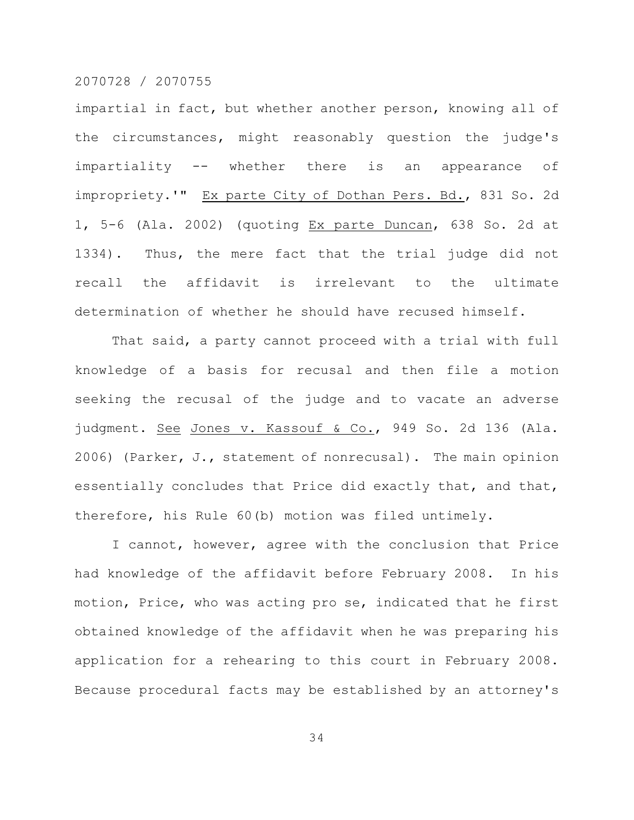impartial in fact, but whether another person, knowing all of the circumstances, might reasonably question the judge's impartiality -- whether there is an appearance of impropriety.'" Ex parte City of Dothan Pers. Bd., 831 So. 2d 1, 5-6 (Ala. 2002) (quoting Ex parte Duncan, 638 So. 2d at 1334). Thus, the mere fact that the trial judge did not recall the affidavit is irrelevant to the ultimate determination of whether he should have recused himself.

That said, a party cannot proceed with a trial with full knowledge of a basis for recusal and then file a motion seeking the recusal of the judge and to vacate an adverse judgment. See Jones v. Kassouf & Co., 949 So. 2d 136 (Ala. 2006) (Parker, J., statement of nonrecusal). The main opinion essentially concludes that Price did exactly that, and that, therefore, his Rule 60(b) motion was filed untimely.

I cannot, however, agree with the conclusion that Price had knowledge of the affidavit before February 2008. In his motion, Price, who was acting pro se, indicated that he first obtained knowledge of the affidavit when he was preparing his application for a rehearing to this court in February 2008. Because procedural facts may be established by an attorney's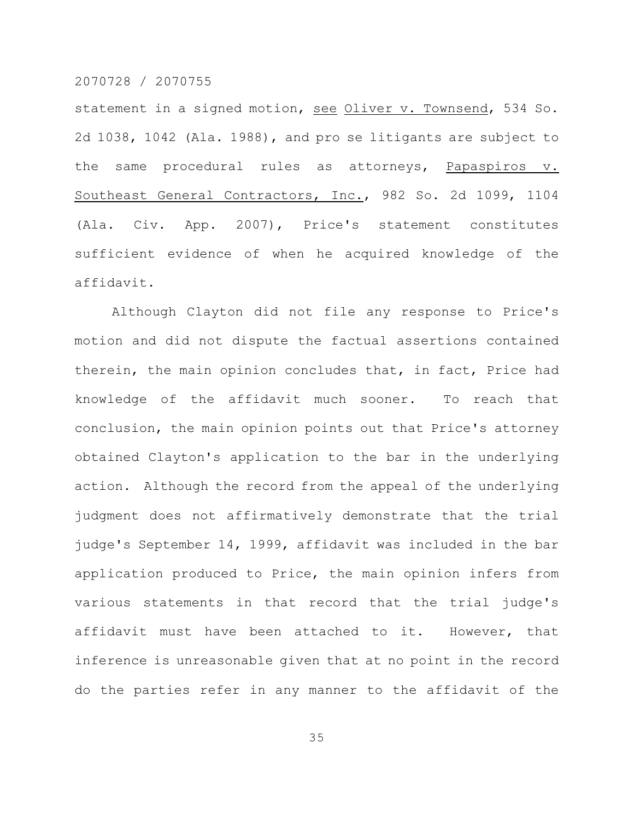statement in a signed motion, see Oliver v. Townsend, 534 So. 2d 1038, 1042 (Ala. 1988), and pro se litigants are subject to the same procedural rules as attorneys, Papaspiros v. Southeast General Contractors, Inc., 982 So. 2d 1099, 1104 (Ala. Civ. App. 2007), Price's statement constitutes sufficient evidence of when he acquired knowledge of the affidavit.

Although Clayton did not file any response to Price's motion and did not dispute the factual assertions contained therein, the main opinion concludes that, in fact, Price had knowledge of the affidavit much sooner. To reach that conclusion, the main opinion points out that Price's attorney obtained Clayton's application to the bar in the underlying action. Although the record from the appeal of the underlying judgment does not affirmatively demonstrate that the trial judge's September 14, 1999, affidavit was included in the bar application produced to Price, the main opinion infers from various statements in that record that the trial judge's affidavit must have been attached to it. However, that inference is unreasonable given that at no point in the record do the parties refer in any manner to the affidavit of the